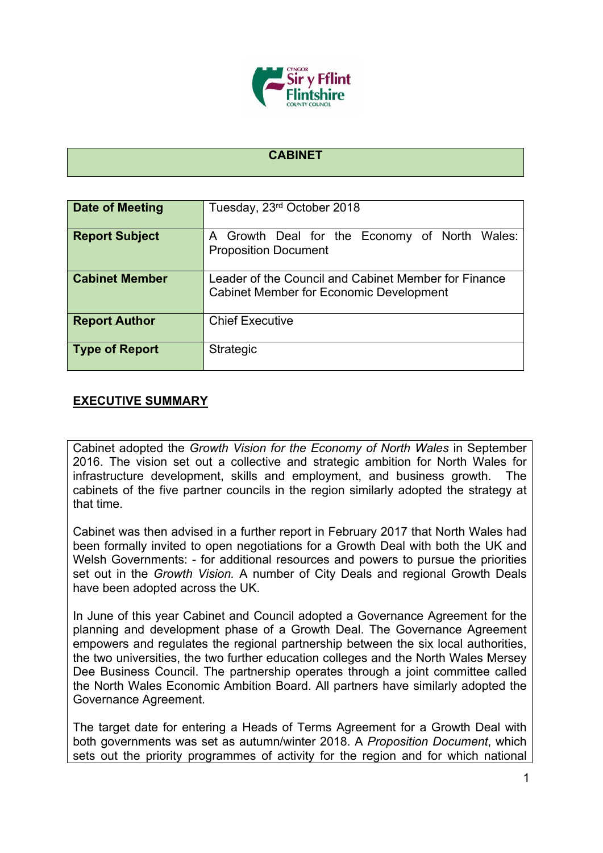

## **CABINET**

| Date of Meeting       | Tuesday, 23rd October 2018                                                                             |
|-----------------------|--------------------------------------------------------------------------------------------------------|
| <b>Report Subject</b> | A Growth Deal for the Economy of North Wales:<br><b>Proposition Document</b>                           |
| <b>Cabinet Member</b> | Leader of the Council and Cabinet Member for Finance<br><b>Cabinet Member for Economic Development</b> |
| <b>Report Author</b>  | <b>Chief Executive</b>                                                                                 |
| <b>Type of Report</b> | <b>Strategic</b>                                                                                       |

## **EXECUTIVE SUMMARY**

Cabinet adopted the *Growth Vision for the Economy of North Wales* in September 2016. The vision set out a collective and strategic ambition for North Wales for infrastructure development, skills and employment, and business growth. The cabinets of the five partner councils in the region similarly adopted the strategy at that time.

Cabinet was then advised in a further report in February 2017 that North Wales had been formally invited to open negotiations for a Growth Deal with both the UK and Welsh Governments: - for additional resources and powers to pursue the priorities set out in the *Growth Vision.* A number of City Deals and regional Growth Deals have been adopted across the UK.

In June of this year Cabinet and Council adopted a Governance Agreement for the planning and development phase of a Growth Deal. The Governance Agreement empowers and regulates the regional partnership between the six local authorities, the two universities, the two further education colleges and the North Wales Mersey Dee Business Council. The partnership operates through a joint committee called the North Wales Economic Ambition Board. All partners have similarly adopted the Governance Agreement.

The target date for entering a Heads of Terms Agreement for a Growth Deal with both governments was set as autumn/winter 2018. A *Proposition Document*, which sets out the priority programmes of activity for the region and for which national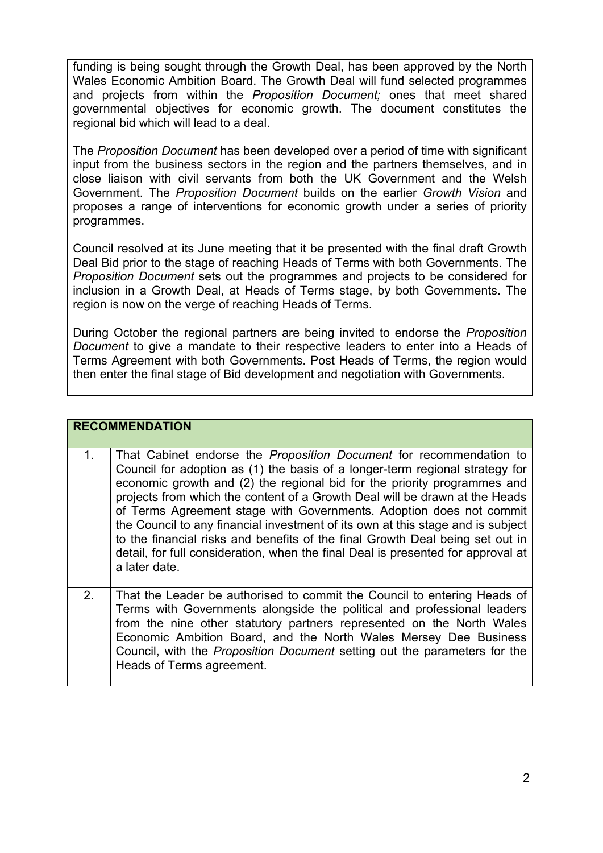funding is being sought through the Growth Deal, has been approved by the North Wales Economic Ambition Board. The Growth Deal will fund selected programmes and projects from within the *Proposition Document;* ones that meet shared governmental objectives for economic growth. The document constitutes the regional bid which will lead to a deal.

The *Proposition Document* has been developed over a period of time with significant input from the business sectors in the region and the partners themselves, and in close liaison with civil servants from both the UK Government and the Welsh Government. The *Proposition Document* builds on the earlier *Growth Vision* and proposes a range of interventions for economic growth under a series of priority programmes.

Council resolved at its June meeting that it be presented with the final draft Growth Deal Bid prior to the stage of reaching Heads of Terms with both Governments. The *Proposition Document* sets out the programmes and projects to be considered for inclusion in a Growth Deal, at Heads of Terms stage, by both Governments. The region is now on the verge of reaching Heads of Terms.

During October the regional partners are being invited to endorse the *Proposition Document* to give a mandate to their respective leaders to enter into a Heads of Terms Agreement with both Governments. Post Heads of Terms, the region would then enter the final stage of Bid development and negotiation with Governments.

|                | <b>RECOMMENDATION</b>                                                                                                                                                                                                                                                                                                                                                                                                                                                                                                                                                                                                                                          |
|----------------|----------------------------------------------------------------------------------------------------------------------------------------------------------------------------------------------------------------------------------------------------------------------------------------------------------------------------------------------------------------------------------------------------------------------------------------------------------------------------------------------------------------------------------------------------------------------------------------------------------------------------------------------------------------|
| 1 <sub>1</sub> | That Cabinet endorse the Proposition Document for recommendation to<br>Council for adoption as (1) the basis of a longer-term regional strategy for<br>economic growth and (2) the regional bid for the priority programmes and<br>projects from which the content of a Growth Deal will be drawn at the Heads<br>of Terms Agreement stage with Governments. Adoption does not commit<br>the Council to any financial investment of its own at this stage and is subject<br>to the financial risks and benefits of the final Growth Deal being set out in<br>detail, for full consideration, when the final Deal is presented for approval at<br>a later date. |
| 2 <sub>1</sub> | That the Leader be authorised to commit the Council to entering Heads of<br>Terms with Governments alongside the political and professional leaders<br>from the nine other statutory partners represented on the North Wales<br>Economic Ambition Board, and the North Wales Mersey Dee Business<br>Council, with the <i>Proposition Document</i> setting out the parameters for the<br>Heads of Terms agreement.                                                                                                                                                                                                                                              |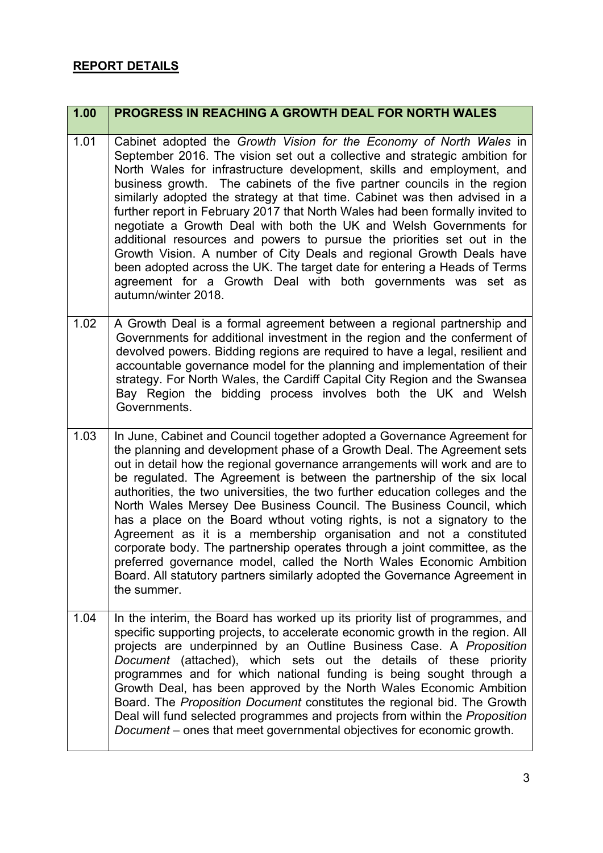## **REPORT DETAILS**

## **1.00 PROGRESS IN REACHING A GROWTH DEAL FOR NORTH WALES** 1.01 Cabinet adopted the *Growth Vision for the Economy of North Wales* in September 2016. The vision set out a collective and strategic ambition for North Wales for infrastructure development, skills and employment, and business growth. The cabinets of the five partner councils in the region similarly adopted the strategy at that time. Cabinet was then advised in a further report in February 2017 that North Wales had been formally invited to negotiate a Growth Deal with both the UK and Welsh Governments for additional resources and powers to pursue the priorities set out in the Growth Vision. A number of City Deals and regional Growth Deals have been adopted across the UK. The target date for entering a Heads of Terms agreement for a Growth Deal with both governments was set as autumn/winter 2018. 1.02  $\vert$  A Growth Deal is a formal agreement between a regional partnership and Governments for additional investment in the region and the conferment of devolved powers. Bidding regions are required to have a legal, resilient and accountable governance model for the planning and implementation of their strategy. For North Wales, the Cardiff Capital City Region and the Swansea Bay Region the bidding process involves both the UK and Welsh Governments. 1.03 In June, Cabinet and Council together adopted a Governance Agreement for the planning and development phase of a Growth Deal. The Agreement sets out in detail how the regional governance arrangements will work and are to be regulated. The Agreement is between the partnership of the six local authorities, the two universities, the two further education colleges and the North Wales Mersey Dee Business Council. The Business Council, which has a place on the Board wthout voting rights, is not a signatory to the Agreement as it is a membership organisation and not a constituted corporate body. The partnership operates through a joint committee, as the preferred governance model, called the North Wales Economic Ambition Board. All statutory partners similarly adopted the Governance Agreement in the summer. 1.04 In the interim, the Board has worked up its priority list of programmes, and specific supporting projects, to accelerate economic growth in the region. All projects are underpinned by an Outline Business Case. A *Proposition Document* (attached), which sets out the details of these priority programmes and for which national funding is being sought through a Growth Deal, has been approved by the North Wales Economic Ambition Board. The *Proposition Document* constitutes the regional bid. The Growth Deal will fund selected programmes and projects from within the *Proposition Document* – ones that meet governmental objectives for economic growth.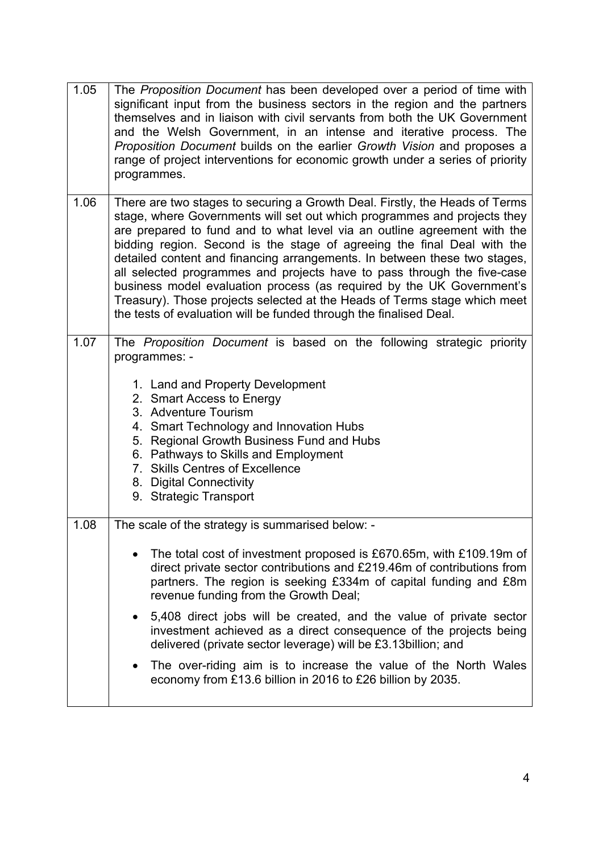| 1.05 | The Proposition Document has been developed over a period of time with<br>significant input from the business sectors in the region and the partners<br>themselves and in liaison with civil servants from both the UK Government<br>and the Welsh Government, in an intense and iterative process. The<br>Proposition Document builds on the earlier Growth Vision and proposes a<br>range of project interventions for economic growth under a series of priority<br>programmes.                                                                                                                                                                                                                 |
|------|----------------------------------------------------------------------------------------------------------------------------------------------------------------------------------------------------------------------------------------------------------------------------------------------------------------------------------------------------------------------------------------------------------------------------------------------------------------------------------------------------------------------------------------------------------------------------------------------------------------------------------------------------------------------------------------------------|
| 1.06 | There are two stages to securing a Growth Deal. Firstly, the Heads of Terms<br>stage, where Governments will set out which programmes and projects they<br>are prepared to fund and to what level via an outline agreement with the<br>bidding region. Second is the stage of agreeing the final Deal with the<br>detailed content and financing arrangements. In between these two stages,<br>all selected programmes and projects have to pass through the five-case<br>business model evaluation process (as required by the UK Government's<br>Treasury). Those projects selected at the Heads of Terms stage which meet<br>the tests of evaluation will be funded through the finalised Deal. |
| 1.07 | The <i>Proposition Document</i> is based on the following strategic priority<br>programmes: -<br>1. Land and Property Development<br>2. Smart Access to Energy<br>3. Adventure Tourism<br>4. Smart Technology and Innovation Hubs<br>5. Regional Growth Business Fund and Hubs<br>6. Pathways to Skills and Employment<br>7. Skills Centres of Excellence<br>8. Digital Connectivity<br>9. Strategic Transport                                                                                                                                                                                                                                                                                     |
| 1.08 | The scale of the strategy is summarised below: -<br>The total cost of investment proposed is £670.65m, with £109.19m of<br>direct private sector contributions and £219.46m of contributions from<br>partners. The region is seeking £334m of capital funding and £8m<br>revenue funding from the Growth Deal;<br>5,408 direct jobs will be created, and the value of private sector<br>investment achieved as a direct consequence of the projects being<br>delivered (private sector leverage) will be £3.13billion; and<br>The over-riding aim is to increase the value of the North Wales<br>economy from £13.6 billion in 2016 to £26 billion by 2035.                                        |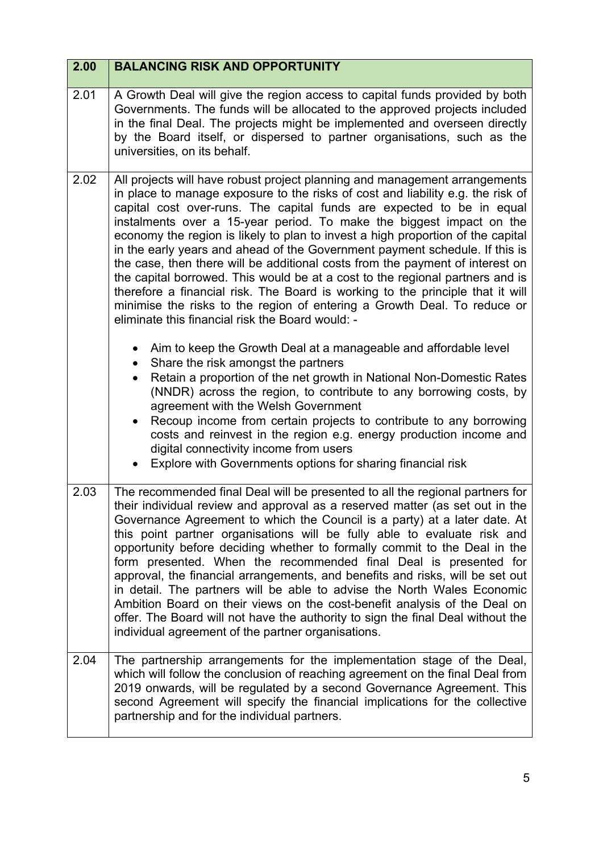| 2.00 | <b>BALANCING RISK AND OPPORTUNITY</b>                                                                                                                                                                                                                                                                                                                                                                                                                                                                                                                                                                                                                                                                                                                                                                                                                                                                                                                                                                                                                                                                                                                                                                                                                                                                                                      |
|------|--------------------------------------------------------------------------------------------------------------------------------------------------------------------------------------------------------------------------------------------------------------------------------------------------------------------------------------------------------------------------------------------------------------------------------------------------------------------------------------------------------------------------------------------------------------------------------------------------------------------------------------------------------------------------------------------------------------------------------------------------------------------------------------------------------------------------------------------------------------------------------------------------------------------------------------------------------------------------------------------------------------------------------------------------------------------------------------------------------------------------------------------------------------------------------------------------------------------------------------------------------------------------------------------------------------------------------------------|
| 2.01 | A Growth Deal will give the region access to capital funds provided by both<br>Governments. The funds will be allocated to the approved projects included<br>in the final Deal. The projects might be implemented and overseen directly<br>by the Board itself, or dispersed to partner organisations, such as the<br>universities, on its behalf.                                                                                                                                                                                                                                                                                                                                                                                                                                                                                                                                                                                                                                                                                                                                                                                                                                                                                                                                                                                         |
| 2.02 | All projects will have robust project planning and management arrangements<br>in place to manage exposure to the risks of cost and liability e.g. the risk of<br>capital cost over-runs. The capital funds are expected to be in equal<br>instalments over a 15-year period. To make the biggest impact on the<br>economy the region is likely to plan to invest a high proportion of the capital<br>in the early years and ahead of the Government payment schedule. If this is<br>the case, then there will be additional costs from the payment of interest on<br>the capital borrowed. This would be at a cost to the regional partners and is<br>therefore a financial risk. The Board is working to the principle that it will<br>minimise the risks to the region of entering a Growth Deal. To reduce or<br>eliminate this financial risk the Board would: -<br>Aim to keep the Growth Deal at a manageable and affordable level<br>Share the risk amongst the partners<br>Retain a proportion of the net growth in National Non-Domestic Rates<br>$\bullet$<br>(NNDR) across the region, to contribute to any borrowing costs, by<br>agreement with the Welsh Government<br>Recoup income from certain projects to contribute to any borrowing<br>$\bullet$<br>costs and reinvest in the region e.g. energy production income and |
|      | digital connectivity income from users<br>Explore with Governments options for sharing financial risk                                                                                                                                                                                                                                                                                                                                                                                                                                                                                                                                                                                                                                                                                                                                                                                                                                                                                                                                                                                                                                                                                                                                                                                                                                      |
| 2.03 | The recommended final Deal will be presented to all the regional partners for<br>their individual review and approval as a reserved matter (as set out in the<br>Governance Agreement to which the Council is a party) at a later date. At<br>this point partner organisations will be fully able to evaluate risk and<br>opportunity before deciding whether to formally commit to the Deal in the<br>form presented. When the recommended final Deal is presented for<br>approval, the financial arrangements, and benefits and risks, will be set out<br>in detail. The partners will be able to advise the North Wales Economic<br>Ambition Board on their views on the cost-benefit analysis of the Deal on<br>offer. The Board will not have the authority to sign the final Deal without the<br>individual agreement of the partner organisations.                                                                                                                                                                                                                                                                                                                                                                                                                                                                                  |
| 2.04 | The partnership arrangements for the implementation stage of the Deal,<br>which will follow the conclusion of reaching agreement on the final Deal from<br>2019 onwards, will be regulated by a second Governance Agreement. This<br>second Agreement will specify the financial implications for the collective<br>partnership and for the individual partners.                                                                                                                                                                                                                                                                                                                                                                                                                                                                                                                                                                                                                                                                                                                                                                                                                                                                                                                                                                           |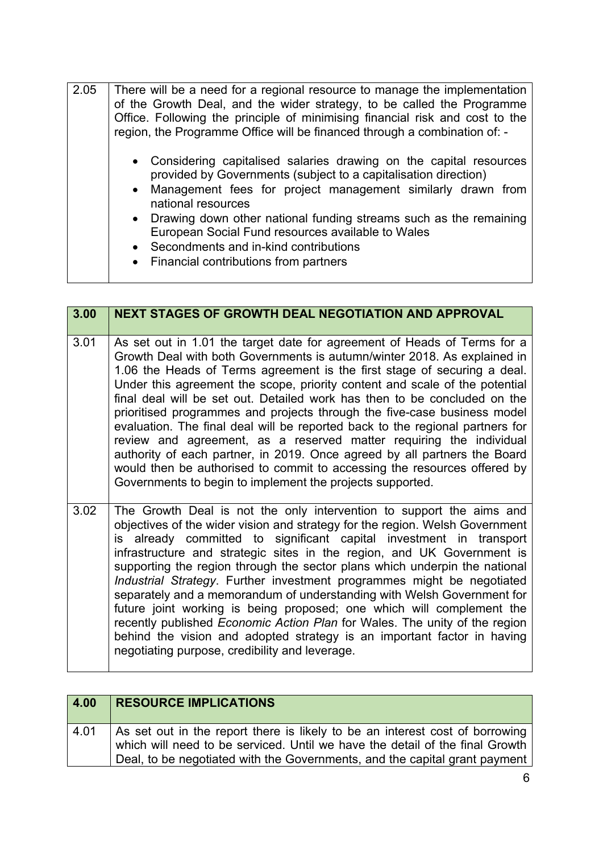| 2.05 | There will be a need for a regional resource to manage the implementation<br>of the Growth Deal, and the wider strategy, to be called the Programme<br>Office. Following the principle of minimising financial risk and cost to the<br>region, the Programme Office will be financed through a combination of: -                                                                                                                                |
|------|-------------------------------------------------------------------------------------------------------------------------------------------------------------------------------------------------------------------------------------------------------------------------------------------------------------------------------------------------------------------------------------------------------------------------------------------------|
|      | • Considering capitalised salaries drawing on the capital resources<br>provided by Governments (subject to a capitalisation direction)<br>• Management fees for project management similarly drawn from<br>national resources<br>• Drawing down other national funding streams such as the remaining<br>European Social Fund resources available to Wales<br>• Secondments and in-kind contributions<br>• Financial contributions from partners |

| 3.00 | <b>NEXT STAGES OF GROWTH DEAL NEGOTIATION AND APPROVAL</b>                                                                                                                                                                                                                                                                                                                                                                                                                                                                                                                                                                                                                                                                                                                                                                                             |
|------|--------------------------------------------------------------------------------------------------------------------------------------------------------------------------------------------------------------------------------------------------------------------------------------------------------------------------------------------------------------------------------------------------------------------------------------------------------------------------------------------------------------------------------------------------------------------------------------------------------------------------------------------------------------------------------------------------------------------------------------------------------------------------------------------------------------------------------------------------------|
| 3.01 | As set out in 1.01 the target date for agreement of Heads of Terms for a<br>Growth Deal with both Governments is autumn/winter 2018. As explained in<br>1.06 the Heads of Terms agreement is the first stage of securing a deal.<br>Under this agreement the scope, priority content and scale of the potential<br>final deal will be set out. Detailed work has then to be concluded on the<br>prioritised programmes and projects through the five-case business model<br>evaluation. The final deal will be reported back to the regional partners for<br>review and agreement, as a reserved matter requiring the individual<br>authority of each partner, in 2019. Once agreed by all partners the Board<br>would then be authorised to commit to accessing the resources offered by<br>Governments to begin to implement the projects supported. |
| 3.02 | The Growth Deal is not the only intervention to support the aims and<br>objectives of the wider vision and strategy for the region. Welsh Government<br>already committed to significant capital investment in transport<br>is<br>infrastructure and strategic sites in the region, and UK Government is<br>supporting the region through the sector plans which underpin the national<br>Industrial Strategy. Further investment programmes might be negotiated<br>separately and a memorandum of understanding with Welsh Government for<br>future joint working is being proposed; one which will complement the<br>recently published Economic Action Plan for Wales. The unity of the region<br>behind the vision and adopted strategy is an important factor in having<br>negotiating purpose, credibility and leverage.                         |

| 4.00 | <b>RESOURCE IMPLICATIONS</b>                                                                                                                                                                                                               |
|------|--------------------------------------------------------------------------------------------------------------------------------------------------------------------------------------------------------------------------------------------|
| 4.01 | As set out in the report there is likely to be an interest cost of borrowing<br>which will need to be serviced. Until we have the detail of the final Growth<br>Deal, to be negotiated with the Governments, and the capital grant payment |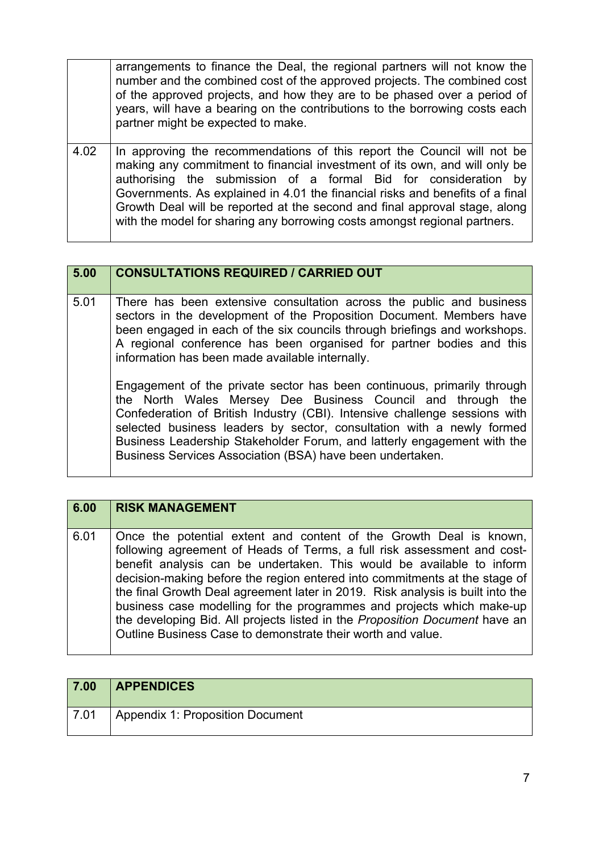|      | arrangements to finance the Deal, the regional partners will not know the<br>number and the combined cost of the approved projects. The combined cost<br>of the approved projects, and how they are to be phased over a period of<br>years, will have a bearing on the contributions to the borrowing costs each<br>partner might be expected to make.                                                                                                               |
|------|----------------------------------------------------------------------------------------------------------------------------------------------------------------------------------------------------------------------------------------------------------------------------------------------------------------------------------------------------------------------------------------------------------------------------------------------------------------------|
| 4.02 | In approving the recommendations of this report the Council will not be<br>making any commitment to financial investment of its own, and will only be<br>authorising the submission of a formal Bid for consideration by<br>Governments. As explained in 4.01 the financial risks and benefits of a final<br>Growth Deal will be reported at the second and final approval stage, along<br>with the model for sharing any borrowing costs amongst regional partners. |

| 5.00 | <b>CONSULTATIONS REQUIRED / CARRIED OUT</b>                                                                                                                                                                                                                                                                                                                                                                                                                                                                                                                                                                                                                                                                                                                                                   |
|------|-----------------------------------------------------------------------------------------------------------------------------------------------------------------------------------------------------------------------------------------------------------------------------------------------------------------------------------------------------------------------------------------------------------------------------------------------------------------------------------------------------------------------------------------------------------------------------------------------------------------------------------------------------------------------------------------------------------------------------------------------------------------------------------------------|
| 5.01 | There has been extensive consultation across the public and business<br>sectors in the development of the Proposition Document. Members have<br>been engaged in each of the six councils through briefings and workshops.<br>A regional conference has been organised for partner bodies and this<br>information has been made available internally.<br>Engagement of the private sector has been continuous, primarily through<br>the North Wales Mersey Dee Business Council and through the<br>Confederation of British Industry (CBI). Intensive challenge sessions with<br>selected business leaders by sector, consultation with a newly formed<br>Business Leadership Stakeholder Forum, and latterly engagement with the<br>Business Services Association (BSA) have been undertaken. |

| 6.00 | <b>RISK MANAGEMENT</b>                                                                                                                                                                                                                                                                                                                                                                                                                                                                                                                                                                                        |
|------|---------------------------------------------------------------------------------------------------------------------------------------------------------------------------------------------------------------------------------------------------------------------------------------------------------------------------------------------------------------------------------------------------------------------------------------------------------------------------------------------------------------------------------------------------------------------------------------------------------------|
| 6.01 | Once the potential extent and content of the Growth Deal is known,<br>following agreement of Heads of Terms, a full risk assessment and cost-<br>benefit analysis can be undertaken. This would be available to inform<br>decision-making before the region entered into commitments at the stage of<br>the final Growth Deal agreement later in 2019. Risk analysis is built into the<br>business case modelling for the programmes and projects which make-up<br>the developing Bid. All projects listed in the Proposition Document have an<br>Outline Business Case to demonstrate their worth and value. |

| 7.00 | <b>APPENDICES</b>                |
|------|----------------------------------|
| 7.01 | Appendix 1: Proposition Document |